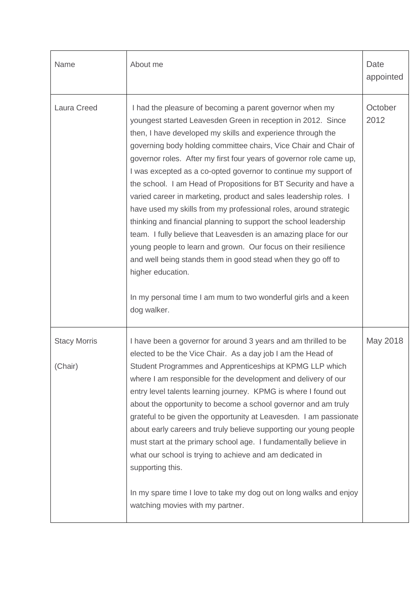| Name                           | About me                                                                                                                                                                                                                                                                                                                                                                                                                                                                                                                                                                                                                                                                                                                                                                                                                                                                                                                                                                                           | Date<br>appointed |
|--------------------------------|----------------------------------------------------------------------------------------------------------------------------------------------------------------------------------------------------------------------------------------------------------------------------------------------------------------------------------------------------------------------------------------------------------------------------------------------------------------------------------------------------------------------------------------------------------------------------------------------------------------------------------------------------------------------------------------------------------------------------------------------------------------------------------------------------------------------------------------------------------------------------------------------------------------------------------------------------------------------------------------------------|-------------------|
| Laura Creed                    | I had the pleasure of becoming a parent governor when my<br>youngest started Leavesden Green in reception in 2012. Since<br>then, I have developed my skills and experience through the<br>governing body holding committee chairs, Vice Chair and Chair of<br>governor roles. After my first four years of governor role came up,<br>I was excepted as a co-opted governor to continue my support of<br>the school. I am Head of Propositions for BT Security and have a<br>varied career in marketing, product and sales leadership roles. I<br>have used my skills from my professional roles, around strategic<br>thinking and financial planning to support the school leadership<br>team. I fully believe that Leavesden is an amazing place for our<br>young people to learn and grown. Our focus on their resilience<br>and well being stands them in good stead when they go off to<br>higher education.<br>In my personal time I am mum to two wonderful girls and a keen<br>dog walker. | October<br>2012   |
| <b>Stacy Morris</b><br>(Chair) | I have been a governor for around 3 years and am thrilled to be<br>elected to be the Vice Chair. As a day job I am the Head of<br>Student Programmes and Apprenticeships at KPMG LLP which<br>where I am responsible for the development and delivery of our<br>entry level talents learning journey. KPMG is where I found out<br>about the opportunity to become a school governor and am truly<br>grateful to be given the opportunity at Leavesden. I am passionate<br>about early careers and truly believe supporting our young people<br>must start at the primary school age. I fundamentally believe in<br>what our school is trying to achieve and am dedicated in<br>supporting this.<br>In my spare time I love to take my dog out on long walks and enjoy<br>watching movies with my partner.                                                                                                                                                                                         | May 2018          |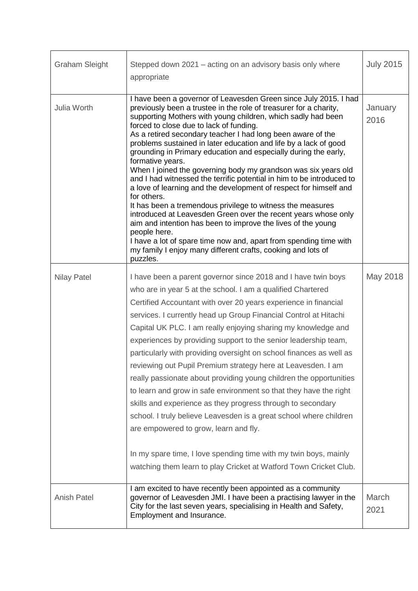| <b>Graham Sleight</b> | Stepped down 2021 – acting on an advisory basis only where<br>appropriate                                                                                                                                                                                                                                                                                                                                                                                                                                                                                                                                                                                                                                                                                                                                                                                                                                                                                                                                                                                                  | <b>July 2015</b> |
|-----------------------|----------------------------------------------------------------------------------------------------------------------------------------------------------------------------------------------------------------------------------------------------------------------------------------------------------------------------------------------------------------------------------------------------------------------------------------------------------------------------------------------------------------------------------------------------------------------------------------------------------------------------------------------------------------------------------------------------------------------------------------------------------------------------------------------------------------------------------------------------------------------------------------------------------------------------------------------------------------------------------------------------------------------------------------------------------------------------|------------------|
| Julia Worth           | I have been a governor of Leavesden Green since July 2015. I had<br>previously been a trustee in the role of treasurer for a charity,<br>supporting Mothers with young children, which sadly had been<br>forced to close due to lack of funding.<br>As a retired secondary teacher I had long been aware of the<br>problems sustained in later education and life by a lack of good<br>grounding in Primary education and especially during the early,<br>formative years.<br>When I joined the governing body my grandson was six years old<br>and I had witnessed the terrific potential in him to be introduced to<br>a love of learning and the development of respect for himself and<br>for others.<br>It has been a tremendous privilege to witness the measures<br>introduced at Leavesden Green over the recent years whose only<br>aim and intention has been to improve the lives of the young<br>people here.<br>I have a lot of spare time now and, apart from spending time with<br>my family I enjoy many different crafts, cooking and lots of<br>puzzles. | January<br>2016  |
| <b>Nilay Patel</b>    | I have been a parent governor since 2018 and I have twin boys<br>who are in year 5 at the school. I am a qualified Chartered<br>Certified Accountant with over 20 years experience in financial<br>services. I currently head up Group Financial Control at Hitachi<br>Capital UK PLC. I am really enjoying sharing my knowledge and<br>experiences by providing support to the senior leadership team,<br>particularly with providing oversight on school finances as well as<br>reviewing out Pupil Premium strategy here at Leavesden. I am<br>really passionate about providing young children the opportunities<br>to learn and grow in safe environment so that they have the right<br>skills and experience as they progress through to secondary<br>school. I truly believe Leavesden is a great school where children<br>are empowered to grow, learn and fly.<br>In my spare time, I love spending time with my twin boys, mainly<br>watching them learn to play Cricket at Watford Town Cricket Club.                                                           | May 2018         |
| <b>Anish Patel</b>    | I am excited to have recently been appointed as a community<br>governor of Leavesden JMI. I have been a practising lawyer in the<br>City for the last seven years, specialising in Health and Safety,<br>Employment and Insurance.                                                                                                                                                                                                                                                                                                                                                                                                                                                                                                                                                                                                                                                                                                                                                                                                                                         | March<br>2021    |